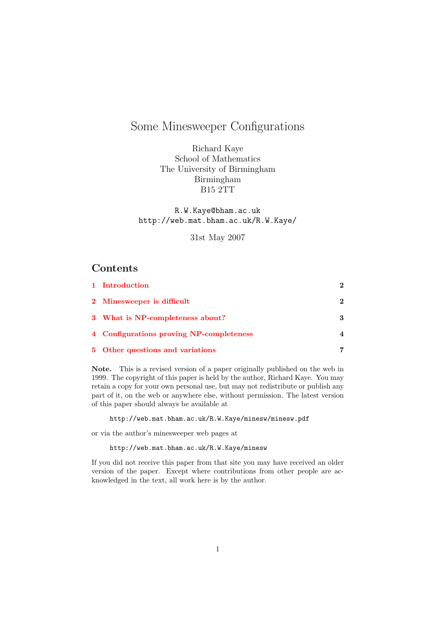# Some Minesweeper Configurations

Richard Kaye School of Mathematics The University of Birmingham Birmingham B15 2TT

R.W.Kaye@bham.ac.uk http://web.mat.bham.ac.uk/R.W.Kaye/

31st May 2007

## Contents

| 1 Introduction                           | 2                        |
|------------------------------------------|--------------------------|
| 2 Minesweeper is difficult               | $\mathbf{2}$             |
| 3 What is NP-completeness about?         | 3                        |
| 4 Configurations proving NP-completeness | $\boldsymbol{\varDelta}$ |
| 5 Other questions and variations         | 7                        |

Note. This is a revised version of a paper originally published on the web in 1999. The copyright of this paper is held by the author, Richard Kaye. You may retain a copy for your own personal use, but may not redistribute or publish any part of it, on the web or anywhere else, without permission. The latest version of this paper should always be available at

http://web.mat.bham.ac.uk/R.W.Kaye/minesw/minesw.pdf

or via the author's minesweeper web pages at

http://web.mat.bham.ac.uk/R.W.Kaye/minesw

If you did not receive this paper from that site you may have received an older version of the paper. Except where contributions from other people are acknowledged in the text, all work here is by the author.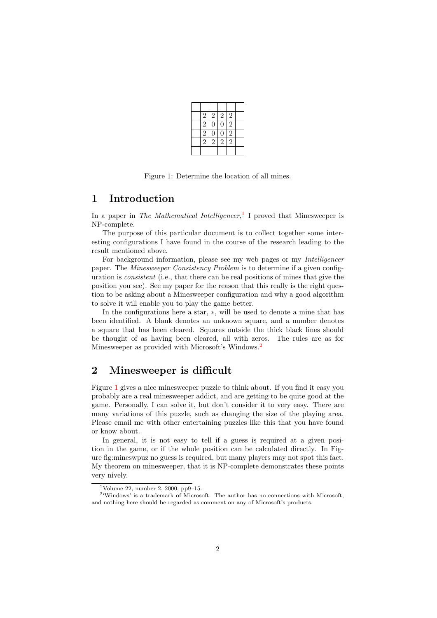| $\sqrt{2}$     | $\overline{2}$ | $\boldsymbol{2}$ | $\overline{c}$ |  |
|----------------|----------------|------------------|----------------|--|
| $\overline{2}$ | $\overline{0}$ | $\overline{0}$   | $\overline{2}$ |  |
| $\overline{2}$ | $\overline{0}$ | $\overline{0}$   | $\overline{2}$ |  |
| $\overline{2}$ | $\overline{2}$ | $\overline{2}$   | $\overline{2}$ |  |
|                |                |                  |                |  |

<span id="page-1-4"></span>Figure 1: Determine the location of all mines.

#### <span id="page-1-0"></span>1 Introduction

In a paper in The Mathematical Intelligencer,<sup>[1](#page-1-2)</sup> I proved that Minesweeper is NP-complete.

The purpose of this particular document is to collect together some interesting configurations I have found in the course of the research leading to the result mentioned above.

For background information, please see my web pages or my Intelligencer paper. The Minesweeper Consistency Problem is to determine if a given configuration is consistent (i.e., that there can be real positions of mines that give the position you see). See my paper for the reason that this really is the right question to be asking about a Minesweeper configuration and why a good algorithm to solve it will enable you to play the game better.

In the configurations here a star, ∗, will be used to denote a mine that has been identified. A blank denotes an unknown square, and a number denotes a square that has been cleared. Squares outside the thick black lines should be thought of as having been cleared, all with zeros. The rules are as for Minesweeper as provided with Microsoft's Windows.[2](#page-1-3)

# <span id="page-1-1"></span>2 Minesweeper is difficult

Figure [1](#page-1-4) gives a nice minesweeper puzzle to think about. If you find it easy you probably are a real minesweeper addict, and are getting to be quite good at the game. Personally, I can solve it, but don't consider it to very easy. There are many variations of this puzzle, such as changing the size of the playing area. Please email me with other entertaining puzzles like this that you have found or know about.

In general, it is not easy to tell if a guess is required at a given position in the game, or if the whole position can be calculated directly. In Figure fig:mineswpuz no guess is required, but many players may not spot this fact. My theorem on minesweeper, that it is NP-complete demonstrates these points very nively.

<span id="page-1-3"></span><span id="page-1-2"></span><sup>&</sup>lt;sup>1</sup>Volume 22, number 2, 2000, pp9–15.

 $2$ <sup>c</sup>Windows' is a trademark of Microsoft. The author has no connections with Microsoft, and nothing here should be regarded as comment on any of Microsoft's products.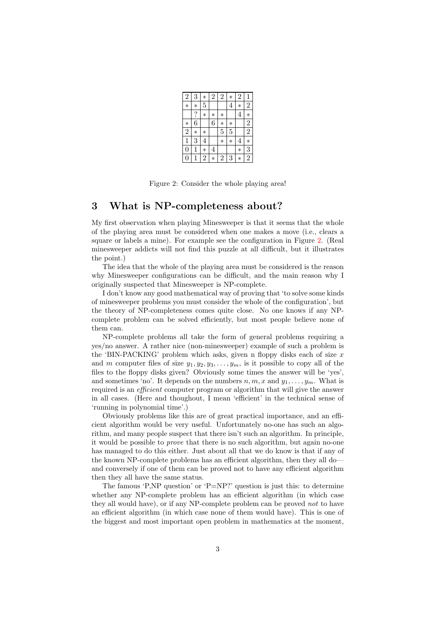| $\overline{2}$   | 3       | $\ast$ | $\overline{2}$ | $\overline{2}$ | $\ast$         | $\overline{2}$ | $\mathbf{1}$   |
|------------------|---------|--------|----------------|----------------|----------------|----------------|----------------|
| $\ast$           | $\ast$  | 5      |                |                | $\overline{4}$ | $\ast$         | $\overline{2}$ |
|                  | $\cdot$ | $\ast$ | $\ast$         | $\ast$         |                | 4              | $\ast$         |
| $\ast$           | 6       |        | 6              | $\ast$         | $\ast$         |                | $\overline{2}$ |
| $\overline{2}$   | $\ast$  | $\ast$ |                | 5              | 5              |                | $\overline{2}$ |
| 1                | 3       | 4      |                | $\ast$         | $\ast$         | 4              | $\ast$         |
| $\boldsymbol{0}$ | 1       | $\ast$ | 4              |                |                | $\ast$         | 3              |
| 0                | 1       | 2      | $\ast$         | 2              | 3              | $\ast$         | 2              |

<span id="page-2-1"></span>Figure 2: Consider the whole playing area!

#### <span id="page-2-0"></span>3 What is NP-completeness about?

My first observation when playing Minesweeper is that it seems that the whole of the playing area must be considered when one makes a move (i.e., clears a square or labels a mine). For example see the configuration in Figure [2.](#page-2-1) (Real minesweeper addicts will not find this puzzle at all difficult, but it illustrates the point.)

The idea that the whole of the playing area must be considered is the reason why Minesweeper configurations can be difficult, and the main reason why I originally suspected that Minesweeper is NP-complete.

I don't know any good mathematical way of proving that 'to solve some kinds of minesweeper problems you must consider the whole of the configuration', but the theory of NP-completeness comes quite close. No one knows if any NPcomplete problem can be solved efficiently, but most people believe none of them can.

NP-complete problems all take the form of general problems requiring a yes/no answer. A rather nice (non-minesweeper) example of such a problem is the 'BIN-PACKING' problem which asks, given n floppy disks each of size  $x$ and m computer files of size  $y_1, y_2, y_3, \ldots, y_m$ , is it possible to copy all of the files to the floppy disks given? Obviously some times the answer will be 'yes', and sometimes 'no'. It depends on the numbers  $n, m, x$  and  $y_1, \ldots, y_m$ . What is required is an *efficient* computer program or algorithm that will give the answer in all cases. (Here and thoughout, I mean 'efficient' in the technical sense of 'running in polynomial time'.)

Obviously problems like this are of great practical importance, and an efficient algorithm would be very useful. Unfortunately no-one has such an algorithm, and many people suspect that there isn't such an algorithm. In principle, it would be possible to prove that there is no such algorithm, but again no-one has managed to do this either. Just about all that we do know is that if any of the known NP-complete problems has an efficient algorithm, then they all do and conversely if one of them can be proved not to have any efficient algorithm then they all have the same status.

The famous 'P,NP question' or 'P=NP?' question is just this: to determine whether any NP-complete problem has an efficient algorithm (in which case they all would have), or if any NP-complete problem can be proved *not* to have an efficient algorithm (in which case none of them would have). This is one of the biggest and most important open problem in mathematics at the moment,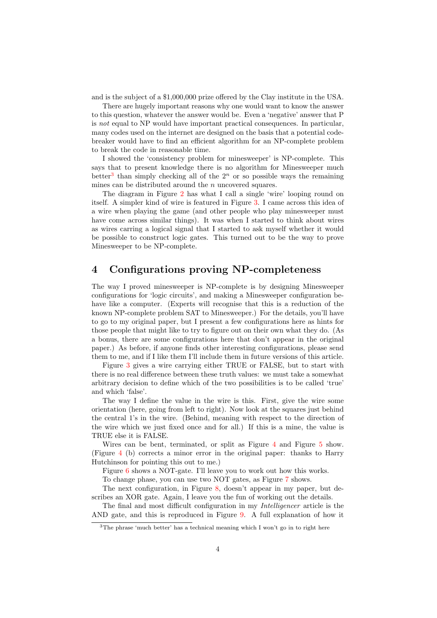and is the subject of a \$1,000,000 prize offered by the Clay institute in the USA.

There are hugely important reasons why one would want to know the answer to this question, whatever the answer would be. Even a 'negative' answer that P is not equal to NP would have important practical consequences. In particular, many codes used on the internet are designed on the basis that a potential codebreaker would have to find an efficient algorithm for an NP-complete problem to break the code in reasonable time.

I showed the 'consistency problem for minesweeper' is NP-complete. This says that to present knowledge there is no algorithm for Minesweeper much better<sup>[3](#page-3-1)</sup> than simply checking all of the  $2<sup>n</sup>$  or so possible ways the remaining mines can be distributed around the  $n$  uncovered squares.

The diagram in Figure [2](#page-2-1) has what I call a single 'wire' looping round on itself. A simpler kind of wire is featured in Figure [3.](#page-4-0) I came across this idea of a wire when playing the game (and other people who play minesweeper must have come across similar things). It was when I started to think about wires as wires carring a logical signal that I started to ask myself whether it would be possible to construct logic gates. This turned out to be the way to prove Minesweeper to be NP-complete.

# <span id="page-3-0"></span>4 Configurations proving NP-completeness

The way I proved minesweeper is NP-complete is by designing Minesweeper configurations for 'logic circuits', and making a Minesweeper configuration behave like a computer. (Experts will recognise that this is a reduction of the known NP-complete problem SAT to Minesweeper.) For the details, you'll have to go to my original paper, but I present a few configurations here as hints for those people that might like to try to figure out on their own what they do. (As a bonus, there are some configurations here that don't appear in the original paper.) As before, if anyone finds other interesting configurations, please send them to me, and if I like them I'll include them in future versions of this article.

Figure [3](#page-4-0) gives a wire carrying either TRUE or FALSE, but to start with there is no real difference between these truth values: we must take a somewhat arbitrary decision to define which of the two possibilities is to be called 'true' and which 'false'.

The way I define the value in the wire is this. First, give the wire some orientation (here, going from left to right). Now look at the squares just behind the central 1's in the wire. (Behind, meaning with respect to the direction of the wire which we just fixed once and for all.) If this is a mine, the value is TRUE else it is FALSE.

Wires can be bent, terminated, or split as Figure [4](#page-4-1) and Figure [5](#page-4-2) show. (Figure [4](#page-4-1) (b) corrects a minor error in the original paper: thanks to Harry Hutchinson for pointing this out to me.)

Figure [6](#page-4-3) shows a NOT-gate. I'll leave you to work out how this works.

To change phase, you can use two NOT gates, as Figure [7](#page-5-0) shows.

The next configuration, in Figure [8,](#page-5-1) doesn't appear in my paper, but describes an XOR gate. Again, I leave you the fun of working out the details.

The final and most difficult configuration in my Intelligencer article is the AND gate, and this is reproduced in Figure [9.](#page-6-1) A full explanation of how it

<span id="page-3-1"></span><sup>&</sup>lt;sup>3</sup>The phrase 'much better' has a technical meaning which I won't go in to right here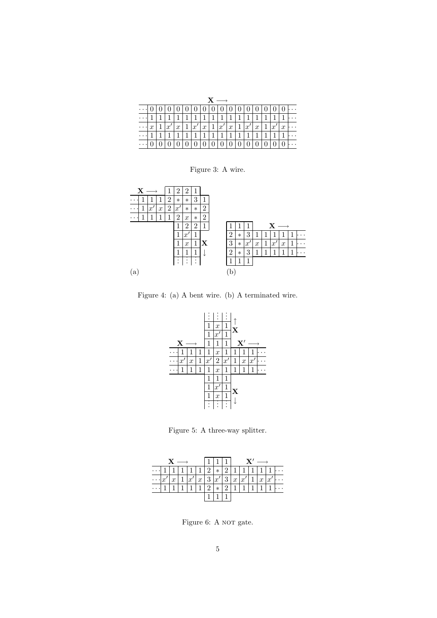| $\mathbf{x} \ \longrightarrow$ |             |                |                |                |                |                      |  |  |                       |             |             |              |  |  |                |
|--------------------------------|-------------|----------------|----------------|----------------|----------------|----------------------|--|--|-----------------------|-------------|-------------|--------------|--|--|----------------|
|                                |             |                |                |                |                |                      |  |  | 0 0 0 0 0 0 0         |             |             |              |  |  |                |
|                                |             |                | $\overline{1}$ | $\mathbf{1}$   | $\mathbf{1}$   | 11111111             |  |  |                       |             |             |              |  |  |                |
|                                | $x_{\perp}$ | $\mathbf{1}$   | x'             | x 1            |                | x' x 1 x' x 1 x' x 1 |  |  |                       |             |             |              |  |  | $ x' x \cdots$ |
|                                |             | $\overline{1}$ | $\overline{1}$ | $\overline{1}$ | $\overline{1}$ | $\sqrt{1111}$        |  |  |                       | $ 1\rangle$ | $ 1\rangle$ | $\mathbf{1}$ |  |  |                |
|                                |             |                |                |                |                |                      |  |  | 0   0   0   0   0   0 |             |             |              |  |  |                |

<span id="page-4-0"></span>Figure 3: A wire.



Figure 4: (a) A bent wire. (b) A terminated wire.

<span id="page-4-1"></span>

<span id="page-4-2"></span>Figure 5: A three-way splitter.



<span id="page-4-3"></span>Figure 6: A NOT gate.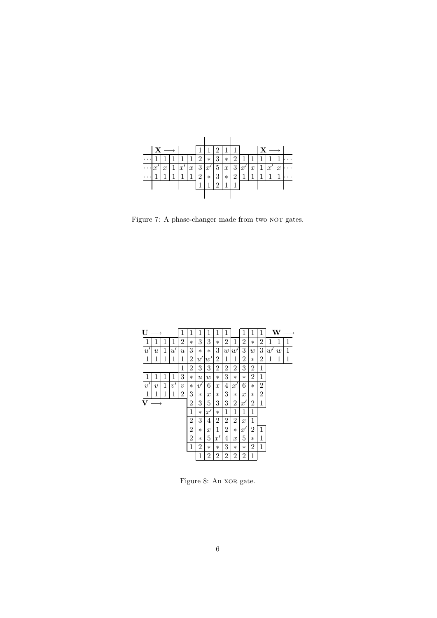

<span id="page-5-0"></span>Figure 7: A phase-changer made from two  $\textsc{NOT}$  gates.

| U               | →                 |   |            | 1                | 1              | 1                         | 1                | 1                | 1                |                  | 1                | 1       | 1              |    | W |             |
|-----------------|-------------------|---|------------|------------------|----------------|---------------------------|------------------|------------------|------------------|------------------|------------------|---------|----------------|----|---|-------------|
| 1               | 1                 | 1 | 1          | 2                | $\ast$         | 3                         | 3                | $\ast$           | 2                | 1                | 2                | $\ast$  | 2              | 1  | 1 | 1           |
| $\overline{u'}$ | $\boldsymbol{u}$  | 1 | u'         | $\boldsymbol{u}$ | 3              | $^\ast$                   | $\ast$           | 3                | $\boldsymbol{w}$ | w'               | 3                | w       | 3              | w' | w | 1           |
| $\mathbf{1}$    | 1                 | 1 | 1          | 1                | 2              | $u^{\prime}$              | w'               | 2                | 1                | $\mathbf{1}$     | 2                | $\ast$  | 2              | 1  | 1 | $\mathbf 1$ |
| 1               |                   |   |            |                  | 2              | 3                         | 3                | 2                | 2                | 2                | 3                | 2       | 1              |    |   |             |
| 1               | 1                 | 1 | 1          | 3                | $\ast$         | $\boldsymbol{\mathit{u}}$ | $\boldsymbol{w}$ | $\ast$           | 3                | $\ast$           | $\ast$           | 2       | 1              |    |   |             |
| v'              | $\boldsymbol{v}$  | 1 | $v^\prime$ | $\overline{v}$   | $\ast$         | v'                        | 6                | $\boldsymbol{x}$ | 4                | x'               | 6                | $\ast$  | $\overline{2}$ |    |   |             |
| $\mathbf{1}$    | 1                 | 1 | 1          | $\overline{2}$   | 3              | $^\ast$                   | $\boldsymbol{x}$ | $\ast$           | 3                | $\ast$           | $\boldsymbol{x}$ | $^\ast$ | $\overline{2}$ |    |   |             |
| $\mathbf{V}$    | $\longrightarrow$ |   |            |                  | $\overline{2}$ | 3                         | 5                | 3                | 3                | $\overline{2}$   | x'               | 2       | 1              |    |   |             |
|                 |                   |   |            |                  | 1              | $^\ast$                   | x'               | $\ast$           | 1                | 1                | 1                | 1       |                |    |   |             |
|                 |                   |   |            |                  | $\overline{2}$ | 3                         | 4                | 2                | $\overline{2}$   | $\overline{2}$   | $\boldsymbol{x}$ | 1       |                |    |   |             |
|                 |                   |   |            |                  | $\overline{2}$ | $^\ast$                   | $\boldsymbol{x}$ | 1                | 2                | $\ast$           | x'               | 2       | 1              |    |   |             |
|                 |                   |   |            |                  | 2              | $^\ast$                   | 5                | $x^{\prime}$     | 4                | $\boldsymbol{x}$ | 5                | $\ast$  | 1              |    |   |             |
|                 |                   |   |            |                  | $\,1$          | 2                         | $\ast$           | $\ast$           | 3                | $\ast$           | $\ast$           | 2       | 1              |    |   |             |
|                 |                   |   |            |                  |                | 1                         | 2                | $\overline{2}$   | 2                | 2                | 2                | 1       |                |    |   |             |

<span id="page-5-1"></span>Figure 8: An XOR gate.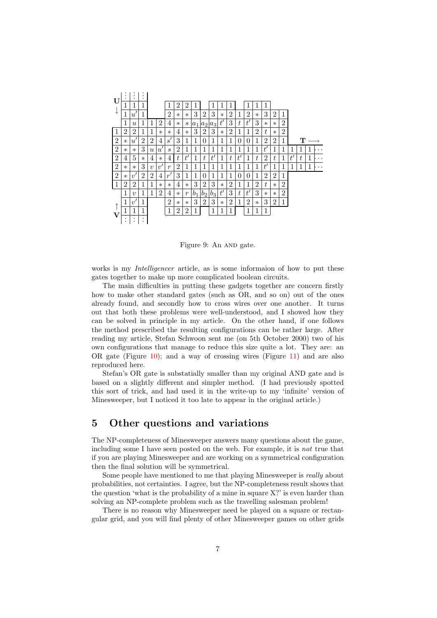

<span id="page-6-1"></span>Figure 9: An AND gate.

works is my *Intelligencer* article, as is some informaion of how to put these gates together to make up more complicated boolean circuits.

The main difficulties in putting these gadgets together are concern firstly how to make other standard gates (such as OR, and so on) out of the ones already found, and secondly how to cross wires over one another. It turns out that both these problems were well-understood, and I showed how they can be solved in principle in my article. On the other hand, if one follows the method prescribed the resulting configurations can be rather large. After reading my article, Stefan Schwoon sent me (on 5th October 2000) two of his own configurations that manage to reduce this size quite a lot. They are: an OR gate (Figure [10\)](#page-7-0); and a way of crossing wires (Figure [11\)](#page-7-1) and are also reproduced here.

Stefan's OR gate is substatially smaller than my original AND gate and is based on a slightly different and simpler method. (I had previously spotted this sort of trick, and had used it in the write-up to my 'infinite' version of Minesweeper, but I noticed it too late to appear in the original article.)

## <span id="page-6-0"></span>5 Other questions and variations

The NP-completeness of Minesweeper answers many questions about the game, including some I have seen posted on the web. For example, it is not true that if you are playing Minesweeper and are working on a symmetrical configuration then the final solution will be symmetrical.

Some people have mentioned to me that playing Minesweeper is really about probabilities, not certainties. I agree, but the NP-completeness result shows that the question 'what is the probability of a mine in square X?' is even harder than solving an NP-complete problem such as the travelling salesman problem!

There is no reason why Minesweeper need be played on a square or rectangular grid, and you will find plenty of other Minesweeper games on other grids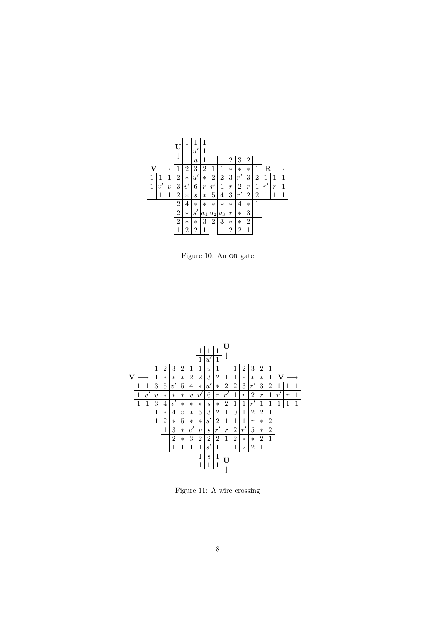

<span id="page-7-0"></span>Figure 10: An OR gate



<span id="page-7-1"></span>Figure 11: A wire crossing